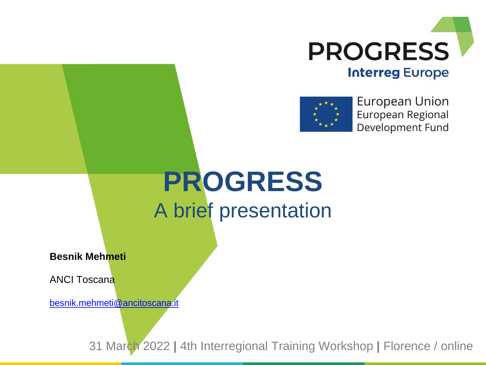



**European Union** European Regional Development Fund

## **PROGRESS** A brief presentation

**Besnik Mehmeti**

ANCI Toscana

[besnik.mehmeti@ancitoscana.it](mailto:besnik.mehmeti@ancitoscana.it)

31 March 2022 **|** 4th Interregional Training Workshop **|** Florence / online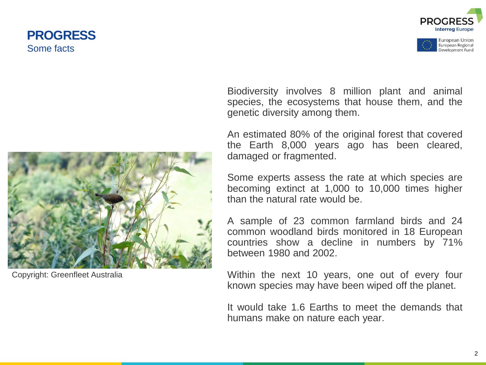### **PROGRESS** Some facts







Copyright: Greenfleet Australia

Biodiversity involves 8 million plant and animal species, the ecosystems that house them, and the genetic diversity among them.

An estimated 80% of the original forest that covered the Earth 8,000 years ago has been cleared, damaged or fragmented.

Some experts assess the rate at which species are becoming extinct at 1,000 to 10,000 times higher than the natural rate would be.

A sample of 23 common farmland birds and 24 common woodland birds monitored in 18 European countries show a decline in numbers by 71% between 1980 and 2002.

Within the next 10 years, one out of every four known species may have been wiped off the planet.

It would take 1.6 Earths to meet the demands that humans make on nature each year.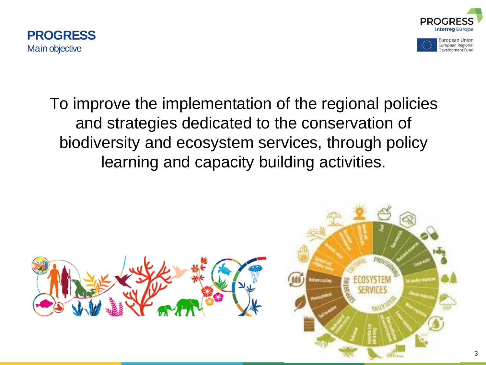





### To improve the implementation of the regional policies and strategies dedicated to the conservation of biodiversity and ecosystem services, through policy learning and capacity building activities.

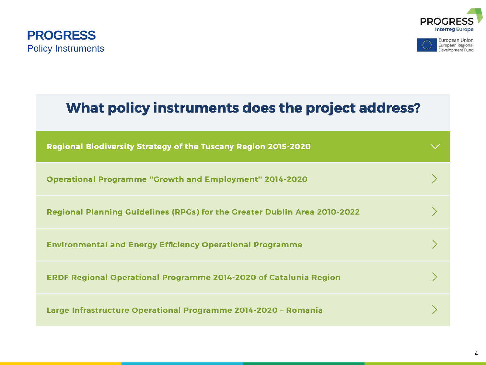





# What policy instruments does the project address? Regional Biodiversity Strategy of the Tuscany Region 2015-2020 **Operational Programme "Growth and Employment" 2014-2020** Regional Planning Guidelines (RPGs) for the Greater Dublin Area 2010-2022 **Environmental and Energy Efficiency Operational Programme ERDF Regional Operational Programme 2014-2020 of Catalunia Region** Large Infrastructure Operational Programme 2014-2020 - Romania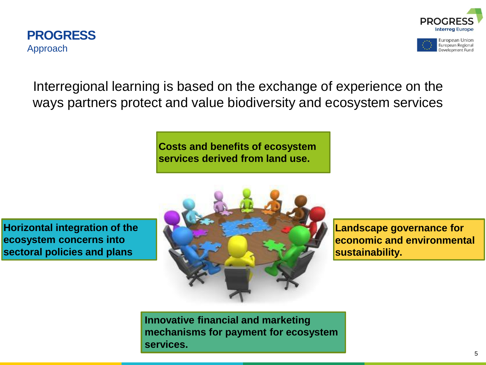



European Regional Development Fund

Interregional learning is based on the exchange of experience on the ways partners protect and value biodiversity and ecosystem services

> **Costs and benefits of ecosystem services derived from land use.**

**Horizontal integration of the ecosystem concerns into sectoral policies and plans**



**Landscape governance for economic and environmental sustainability.**

**Innovative financial and marketing mechanisms for payment for ecosystem services.**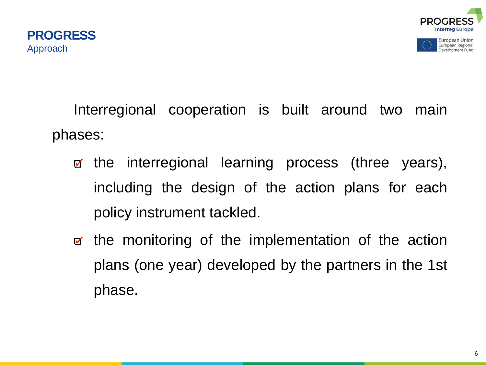

European Union European Regional Development Fund

Interregional cooperation is built around two main phases:

- the interregional learning process (three years),  $\blacktriangledown$ including the design of the action plans for each policy instrument tackled.
- the monitoring of the implementation of the action plans (one year) developed by the partners in the 1st phase.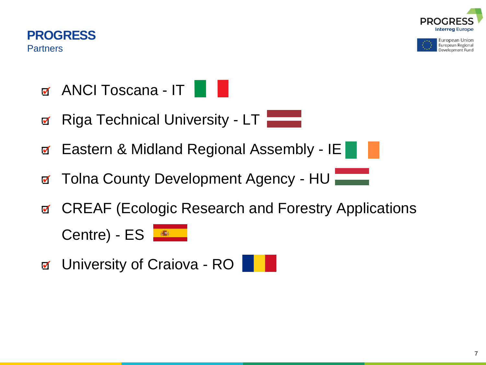



European Union European Regional Development Fund

- ANCI Toscana IT
- Riga Technical University LT  $\blacktriangledown$
- Eastern & Midland Regional Assembly IE  $\blacktriangledown$
- Tolna County Development Agency HU  $\blacksquare$
- CREAF (Ecologic Research and Forestry Applications  $\blacksquare$ Centre) - ES
- g University of Craiova RO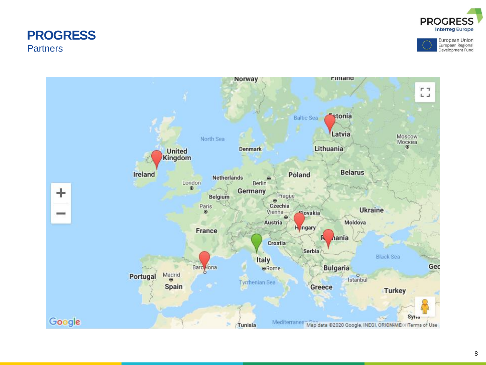#### **PROGRESS Partners**